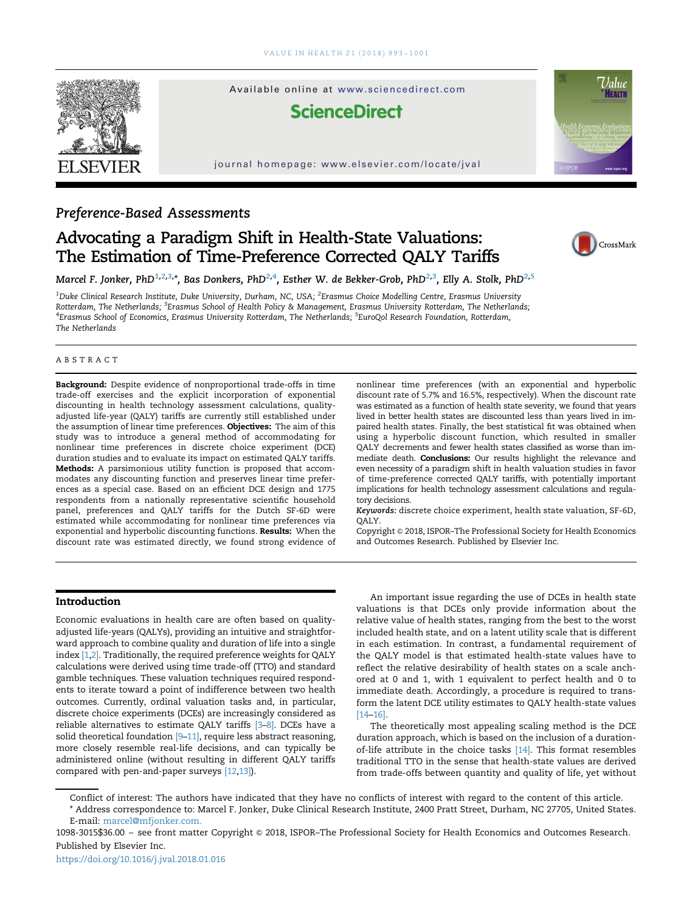

# Preference-Based Assessments

# Advocating a Paradigm Shift in Health-State Valuations: The Estimation of Time-Preference Corrected QALY Tariffs



Marcel F. Jonker, PhD $^{1,2,3,*}$ , Bas Donkers, PhD $^{2,4}$ , Esther W. de Bekker-Grob, PhD $^{2,3}$ , Elly A. Stolk, PhD $^{2,5}$ 

 $^{\rm 1D}$ uke Clinical Research Institute, Duke University, Durham, NC, USA;  $^{\rm 2}$ Erasmus Choice Modelling Centre, Erasmus University Rotterdam, The Netherlands; <sup>3</sup>Erasmus School of Health Policy & Management, Erasmus University Rotterdam, The Netherlands; <sup>4</sup>Erasmus School of Economics, Erasmus University Rotterdam, The Netherlands; <sup>5</sup>EuroQol Research Foundation, Rotterdam, The Netherlands

#### ABSTRACT

Background: Despite evidence of nonproportional trade-offs in time trade-off exercises and the explicit incorporation of exponential discounting in health technology assessment calculations, qualityadjusted life-year (QALY) tariffs are currently still established under the assumption of linear time preferences. Objectives: The aim of this study was to introduce a general method of accommodating for nonlinear time preferences in discrete choice experiment (DCE) duration studies and to evaluate its impact on estimated QALY tariffs. Methods: A parsimonious utility function is proposed that accommodates any discounting function and preserves linear time preferences as a special case. Based on an efficient DCE design and 1775 respondents from a nationally representative scientific household panel, preferences and QALY tariffs for the Dutch SF-6D were estimated while accommodating for nonlinear time preferences via exponential and hyperbolic discounting functions. Results: When the discount rate was estimated directly, we found strong evidence of

nonlinear time preferences (with an exponential and hyperbolic discount rate of 5.7% and 16.5%, respectively). When the discount rate was estimated as a function of health state severity, we found that years lived in better health states are discounted less than years lived in impaired health states. Finally, the best statistical fit was obtained when using a hyperbolic discount function, which resulted in smaller QALY decrements and fewer health states classified as worse than immediate death. Conclusions: Our results highlight the relevance and even necessity of a paradigm shift in health valuation studies in favor of time-preference corrected QALY tariffs, with potentially important implications for health technology assessment calculations and regulatory decisions.

Keywords: discrete choice experiment, health state valuation, SF-6D, QALY.

Copyright & 2018, ISPOR–The Professional Society for Health Economics and Outcomes Research. Published by Elsevier Inc.

## Introduction

Economic evaluations in health care are often based on qualityadjusted life-years (QALYs), providing an intuitive and straightforward approach to combine quality and duration of life into a single index [\[1,2\].](#page-7-0) Traditionally, the required preference weights for QALY calculations were derived using time trade-off (TTO) and standard gamble techniques. These valuation techniques required respondents to iterate toward a point of indifference between two health outcomes. Currently, ordinal valuation tasks and, in particular, discrete choice experiments (DCEs) are increasingly considered as reliable alternatives to estimate QALY tariffs [\[3](#page-7-0)–[8\]](#page-7-0). DCEs have a solid theoretical foundation [\[9](#page-7-0)-[11\]](#page-7-0), require less abstract reasoning, more closely resemble real-life decisions, and can typically be administered online (without resulting in different QALY tariffs compared with pen-and-paper surveys [\[12,13\]](#page-7-0)).

An important issue regarding the use of DCEs in health state valuations is that DCEs only provide information about the relative value of health states, ranging from the best to the worst included health state, and on a latent utility scale that is different in each estimation. In contrast, a fundamental requirement of the QALY model is that estimated health-state values have to reflect the relative desirability of health states on a scale anchored at 0 and 1, with 1 equivalent to perfect health and 0 to immediate death. Accordingly, a procedure is required to transform the latent DCE utility estimates to QALY health-state values [\[14](#page-7-0)–[16\]](#page-7-0).

The theoretically most appealing scaling method is the DCE duration approach, which is based on the inclusion of a duration-of-life attribute in the choice tasks [\[14\]](#page-7-0). This format resembles traditional TTO in the sense that health-state values are derived from trade-offs between quantity and quality of life, yet without

Conflict of interest: The authors have indicated that they have no conflicts of interest with regard to the content of this article. \* Address correspondence to: Marcel F. Jonker, Duke Clinical Research Institute, 2400 Pratt Street, Durham, NC 27705, United States. E-mail: [marcel@mfjonker.com](mailto:marcel@mfjonker.com).

1098-3015\$36.00 - see front matter Copyright @ 2018, ISPOR-The Professional Society for Health Economics and Outcomes Research. Published by Elsevier Inc.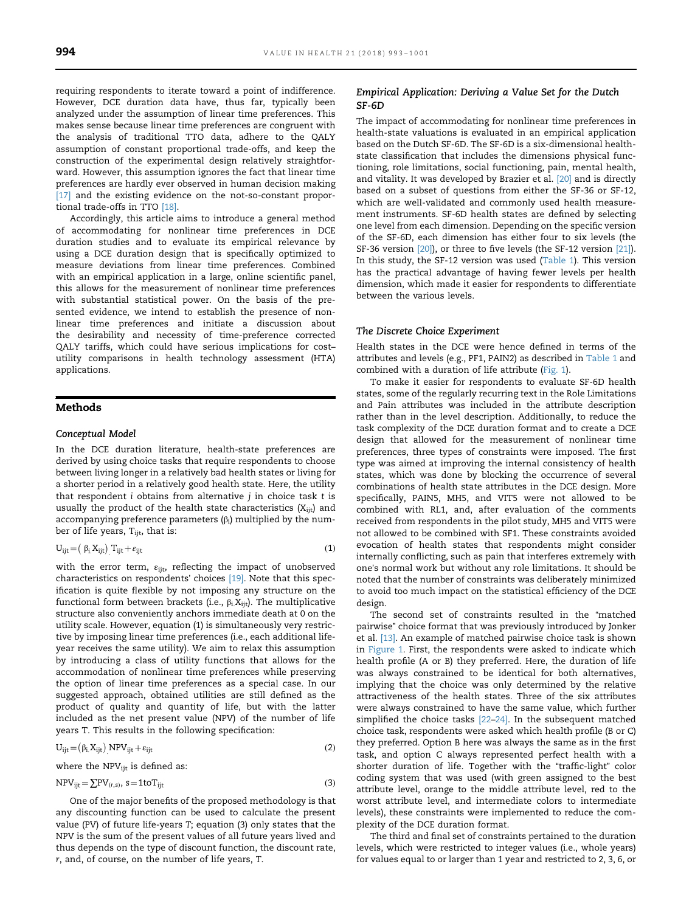requiring respondents to iterate toward a point of indifference. However, DCE duration data have, thus far, typically been analyzed under the assumption of linear time preferences. This makes sense because linear time preferences are congruent with the analysis of traditional TTO data, adhere to the QALY assumption of constant proportional trade-offs, and keep the construction of the experimental design relatively straightforward. However, this assumption ignores the fact that linear time preferences are hardly ever observed in human decision making [\[17\]](#page-7-0) and the existing evidence on the not-so-constant proportional trade-offs in TTO [\[18\].](#page-8-0)

Accordingly, this article aims to introduce a general method of accommodating for nonlinear time preferences in DCE duration studies and to evaluate its empirical relevance by using a DCE duration design that is specifically optimized to measure deviations from linear time preferences. Combined with an empirical application in a large, online scientific panel, this allows for the measurement of nonlinear time preferences with substantial statistical power. On the basis of the presented evidence, we intend to establish the presence of nonlinear time preferences and initiate a discussion about the desirability and necessity of time-preference corrected QALY tariffs, which could have serious implications for cost– utility comparisons in health technology assessment (HTA) applications.

# Methods

#### Conceptual Model

In the DCE duration literature, health-state preferences are derived by using choice tasks that require respondents to choose between living longer in a relatively bad health states or living for a shorter period in a relatively good health state. Here, the utility that respondent  $i$  obtains from alternative  $j$  in choice task  $t$  is usually the product of the health state characteristics  $(X_{ijt})$  and accompanying preference parameters  $(\beta_i)$  multiplied by the number of life years, T<sub>ijt</sub>, that is:

$$
U_{ijt} = ( \beta_i X_{ijt} ) T_{ijt} + \varepsilon_{ijt}
$$
 (1)

with the error term,  $\varepsilon_{\text{ijt}}$ , reflecting the impact of unobserved characteristics on respondents' choices [\[19\]](#page-8-0). Note that this specification is quite flexible by not imposing any structure on the functional form between brackets (i.e.,  $\beta_i X_{ijt}$ ). The multiplicative structure also conveniently anchors immediate death at 0 on the utility scale. However, equation (1) is simultaneously very restrictive by imposing linear time preferences (i.e., each additional lifeyear receives the same utility). We aim to relax this assumption by introducing a class of utility functions that allows for the accommodation of nonlinear time preferences while preserving the option of linear time preferences as a special case. In our suggested approach, obtained utilities are still defined as the product of quality and quantity of life, but with the latter included as the net present value (NPV) of the number of life years T. This results in the following specification:

$$
U_{ijt} = (\beta_i X_{ijt}) NPV_{ijt} + \varepsilon_{ijt}
$$
 (2)

where the  $NPV_{ijt}$  is defined as:

$$
NPV_{ijt} = \sum PV_{(r,s)}, s = 1 \text{to} T_{ijt}
$$
\n(3)

One of the major benefits of the proposed methodology is that any discounting function can be used to calculate the present value (PV) of future life-years T; equation (3) only states that the NPV is the sum of the present values of all future years lived and thus depends on the type of discount function, the discount rate, r, and, of course, on the number of life years, T.

#### Empirical Application: Deriving a Value Set for the Dutch SF-6D

The impact of accommodating for nonlinear time preferences in health-state valuations is evaluated in an empirical application based on the Dutch SF-6D. The SF-6D is a six-dimensional healthstate classification that includes the dimensions physical functioning, role limitations, social functioning, pain, mental health, and vitality. It was developed by Brazier et al. [\[20\]](#page-8-0) and is directly based on a subset of questions from either the SF-36 or SF-12, which are well-validated and commonly used health measurement instruments. SF-6D health states are defined by selecting one level from each dimension. Depending on the specific version of the SF-6D, each dimension has either four to six levels (the SF-36 version [\[20\]](#page-8-0)), or three to five levels (the SF-12 version [\[21\]\)](#page-8-0). In this study, the SF-12 version was used ([Table 1\)](#page-2-0). This version has the practical advantage of having fewer levels per health dimension, which made it easier for respondents to differentiate between the various levels.

#### The Discrete Choice Experiment

Health states in the DCE were hence defined in terms of the attributes and levels (e.g., PF1, PAIN2) as described in [Table 1](#page-2-0) and combined with a duration of life attribute [\(Fig. 1\)](#page-3-0).

To make it easier for respondents to evaluate SF-6D health states, some of the regularly recurring text in the Role Limitations and Pain attributes was included in the attribute description rather than in the level description. Additionally, to reduce the task complexity of the DCE duration format and to create a DCE design that allowed for the measurement of nonlinear time preferences, three types of constraints were imposed. The first type was aimed at improving the internal consistency of health states, which was done by blocking the occurrence of several combinations of health state attributes in the DCE design. More specifically, PAIN5, MH5, and VIT5 were not allowed to be combined with RL1, and, after evaluation of the comments received from respondents in the pilot study, MH5 and VIT5 were not allowed to be combined with SF1. These constraints avoided evocation of health states that respondents might consider internally conflicting, such as pain that interferes extremely with one's normal work but without any role limitations. It should be noted that the number of constraints was deliberately minimized to avoid too much impact on the statistical efficiency of the DCE design.

The second set of constraints resulted in the "matched pairwise" choice format that was previously introduced by Jonker et al. [\[13\].](#page-7-0) An example of matched pairwise choice task is shown in [Figure 1.](#page-3-0) First, the respondents were asked to indicate which health profile (A or B) they preferred. Here, the duration of life was always constrained to be identical for both alternatives, implying that the choice was only determined by the relative attractiveness of the health states. Three of the six attributes were always constrained to have the same value, which further simplified the choice tasks [\[22](#page-8-0)–[24\].](#page-8-0) In the subsequent matched choice task, respondents were asked which health profile (B or C) they preferred. Option B here was always the same as in the first task, and option C always represented perfect health with a shorter duration of life. Together with the "traffic-light" color coding system that was used (with green assigned to the best attribute level, orange to the middle attribute level, red to the worst attribute level, and intermediate colors to intermediate levels), these constraints were implemented to reduce the complexity of the DCE duration format.

The third and final set of constraints pertained to the duration levels, which were restricted to integer values (i.e., whole years) for values equal to or larger than 1 year and restricted to 2, 3, 6, or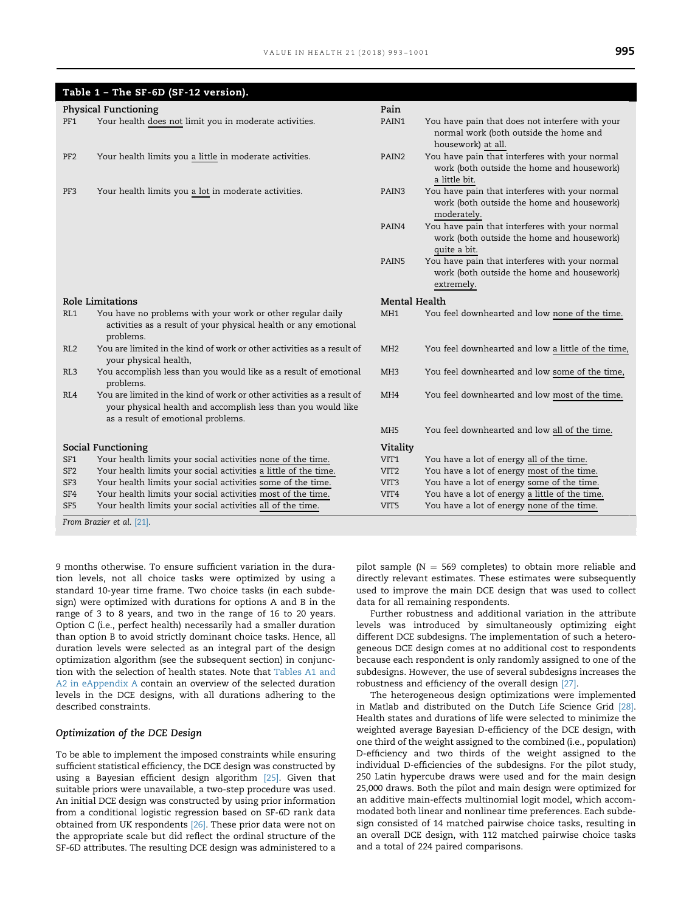<span id="page-2-0"></span>

| Table 1 - The SF-6D (SF-12 version). |                                                                                                                                                                              |                   |                                                                                                                 |  |  |
|--------------------------------------|------------------------------------------------------------------------------------------------------------------------------------------------------------------------------|-------------------|-----------------------------------------------------------------------------------------------------------------|--|--|
| <b>Physical Functioning</b>          |                                                                                                                                                                              |                   |                                                                                                                 |  |  |
| PF1                                  | Your health does not limit you in moderate activities.                                                                                                                       | PAIN1             | You have pain that does not interfere with your<br>normal work (both outside the home and<br>housework) at all. |  |  |
| PF <sub>2</sub>                      | Your health limits you a little in moderate activities.                                                                                                                      | PAIN <sub>2</sub> | You have pain that interferes with your normal<br>work (both outside the home and housework)<br>a little bit.   |  |  |
| PF3                                  | Your health limits you a lot in moderate activities.                                                                                                                         | PAIN3             | You have pain that interferes with your normal<br>work (both outside the home and housework)<br>moderately.     |  |  |
|                                      |                                                                                                                                                                              | PAIN4             | You have pain that interferes with your normal<br>work (both outside the home and housework)<br>quite a bit.    |  |  |
|                                      |                                                                                                                                                                              | PAIN5             | You have pain that interferes with your normal<br>work (both outside the home and housework)<br>extremely.      |  |  |
| Role Limitations                     |                                                                                                                                                                              | Mental Health     |                                                                                                                 |  |  |
| RL1                                  | You have no problems with your work or other regular daily<br>activities as a result of your physical health or any emotional<br>problems.                                   | MH <sub>1</sub>   | You feel downhearted and low none of the time.                                                                  |  |  |
| RL2                                  | You are limited in the kind of work or other activities as a result of<br>your physical health,                                                                              | MH <sub>2</sub>   | You feel downhearted and low a little of the time,                                                              |  |  |
| RL3                                  | You accomplish less than you would like as a result of emotional<br>problems.                                                                                                | MH <sub>3</sub>   | You feel downhearted and low some of the time,                                                                  |  |  |
| RL4                                  | You are limited in the kind of work or other activities as a result of<br>your physical health and accomplish less than you would like<br>as a result of emotional problems. | MH <sub>4</sub>   | You feel downhearted and low most of the time.                                                                  |  |  |
|                                      |                                                                                                                                                                              | MH <sub>5</sub>   | You feel downhearted and low all of the time.                                                                   |  |  |
| Social Functioning                   |                                                                                                                                                                              | Vitality          |                                                                                                                 |  |  |
| SF1                                  | Your health limits your social activities none of the time.                                                                                                                  | VIT1              | You have a lot of energy all of the time.                                                                       |  |  |
| SF <sub>2</sub>                      | Your health limits your social activities a little of the time.                                                                                                              | VIT <sub>2</sub>  | You have a lot of energy most of the time.                                                                      |  |  |
| SF <sub>3</sub>                      | Your health limits your social activities some of the time.                                                                                                                  | VIT <sub>3</sub>  | You have a lot of energy some of the time.                                                                      |  |  |
| SF4                                  | Your health limits your social activities most of the time.                                                                                                                  | VIT4              | You have a lot of energy a little of the time.                                                                  |  |  |
| SF <sub>5</sub>                      | Your health limits your social activities all of the time.                                                                                                                   | VIT5              | You have a lot of energy none of the time.                                                                      |  |  |
|                                      | From Brazier et al. [21].                                                                                                                                                    |                   |                                                                                                                 |  |  |

9 months otherwise. To ensure sufficient variation in the duration levels, not all choice tasks were optimized by using a standard 10-year time frame. Two choice tasks (in each subdesign) were optimized with durations for options A and B in the range of 3 to 8 years, and two in the range of 16 to 20 years. Option C (i.e., perfect health) necessarily had a smaller duration than option B to avoid strictly dominant choice tasks. Hence, all duration levels were selected as an integral part of the design optimization algorithm (see the subsequent section) in conjunction with the selection of health states. Note that [Tables A1 and](#page-7-0) [A2 in eAppendix A](#page-7-0) contain an overview of the selected duration levels in the DCE designs, with all durations adhering to the described constraints.

# Optimization of the DCE Design

To be able to implement the imposed constraints while ensuring sufficient statistical efficiency, the DCE design was constructed by using a Bayesian efficient design algorithm [\[25\]](#page-8-0). Given that suitable priors were unavailable, a two-step procedure was used. An initial DCE design was constructed by using prior information from a conditional logistic regression based on SF-6D rank data obtained from UK respondents [\[26\].](#page-8-0) These prior data were not on the appropriate scale but did reflect the ordinal structure of the SF-6D attributes. The resulting DCE design was administered to a

pilot sample ( $N = 569$  completes) to obtain more reliable and directly relevant estimates. These estimates were subsequently used to improve the main DCE design that was used to collect data for all remaining respondents.

Further robustness and additional variation in the attribute levels was introduced by simultaneously optimizing eight different DCE subdesigns. The implementation of such a heterogeneous DCE design comes at no additional cost to respondents because each respondent is only randomly assigned to one of the subdesigns. However, the use of several subdesigns increases the robustness and efficiency of the overall design [\[27\].](#page-8-0)

The heterogeneous design optimizations were implemented in Matlab and distributed on the Dutch Life Science Grid [\[28\].](#page-8-0) Health states and durations of life were selected to minimize the weighted average Bayesian D-efficiency of the DCE design, with one third of the weight assigned to the combined (i.e., population) D-efficiency and two thirds of the weight assigned to the individual D-efficiencies of the subdesigns. For the pilot study, 250 Latin hypercube draws were used and for the main design 25,000 draws. Both the pilot and main design were optimized for an additive main-effects multinomial logit model, which accommodated both linear and nonlinear time preferences. Each subdesign consisted of 14 matched pairwise choice tasks, resulting in an overall DCE design, with 112 matched pairwise choice tasks and a total of 224 paired comparisons.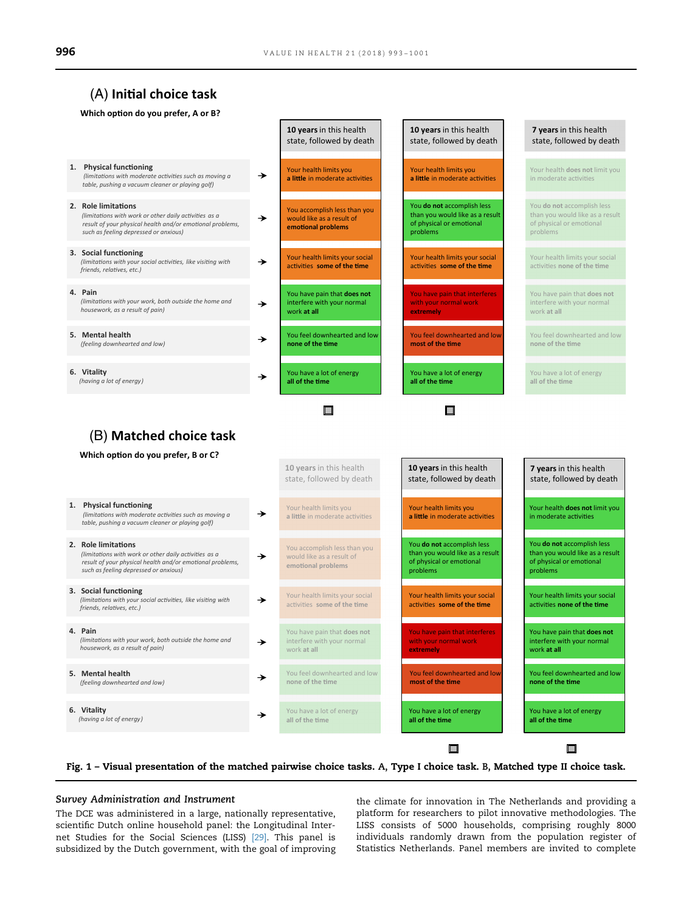# <span id="page-3-0"></span> $(A)$  Initial choice task

#### **Which option do you prefer, A or B?**

| 1. Physical functioning               |  |  |  |  |  |
|---------------------------------------|--|--|--|--|--|
| (limitations with moderate activities |  |  |  |  |  |

*es such as moving a table, pushing a vacuum cleaner or playing golf)*

**2.** Role limitations

(limitations with work or other daily activities as a *result of your physical health and/or emotional problems, such as feeling depressed or anxious)*

- **3. Social functioning** (limitations with your social activities, like visiting with *friends, rela-ves, etc.)*
- **4. Pain** (limitations with your work, both outside the home and *housework, as a result of pain)*
- **5. Mental health** *(feeling downhearted and low)*
- **6. Vitality**
	- *(having a lot of energy)*
- **10 years**in this health state, followed by death
- Your health limits you a little in moderate activities

 $\rightarrow$ 

→

→

→

┶

- You accomplish less than you would like as a result of emotional problems
- Your health limits your social activities some of the time
- You have pain that **does not**  interfere with your normal

work **at all**

- You feel downhearted and low **none of the time**
- You have a lot of energy all of the time

# $\Box$

**10 years**in this health

#### **10 years**in this health state, followed by death

- Your health limits you a little in moderate activities
- You **do not** accomplish less than you would like as a result of physical or emotional problems
- Your health limits your social activities some of the time
- You have pain that interferes with your normal work **extremely**
- You feel downhearted and low most of the time
- You have a lot of energy all of the time

 $\Box$ 

**10 years** in the health the health of the health of the health of the health of the health of the health of the health of the health of the health of the health of the health of the health of the health of the health of t

# **7 years**in this health state, followed by death

- Your health **does not** limit you in moderate activities
- You **do not** accomplish less than you would like as a result of physical or emotional problems
- Your health limits your social activities none of the time
- You have pain that **does not**  interfere with your normal work **at all**
- You feel downhearted and low **none of the time**
- You have a lot of energy all of the time

**7 years**in this health

□



#### **Which option do you prefer, B or C?**

|                                                                                                                                                                                    |               | 10 years in this health<br>state, followed by death                             | <b>10 years</b> in this health<br>state, followed by death                                            | <b>7 years</b> in this health<br>state, followed by death                                             |
|------------------------------------------------------------------------------------------------------------------------------------------------------------------------------------|---------------|---------------------------------------------------------------------------------|-------------------------------------------------------------------------------------------------------|-------------------------------------------------------------------------------------------------------|
| <b>Physical functioning</b><br>1.<br>(limitations with moderate activities such as moving a<br>table, pushing a vacuum cleaner or playing golf)                                    | $\rightarrow$ | Your health limits you<br>a little in moderate activities                       | Your health limits you<br>a little in moderate activities                                             | Your health does not limit you<br>in moderate activities                                              |
| 2. Role limitations<br>(limitations with work or other daily activities as a<br>result of your physical health and/or emotional problems,<br>such as feeling depressed or anxious) | →             | You accomplish less than you<br>would like as a result of<br>emotional problems | You do not accomplish less<br>than you would like as a result<br>of physical or emotional<br>problems | You do not accomplish less<br>than you would like as a result<br>of physical or emotional<br>problems |
| 3. Social functioning<br>(limitations with your social activities, like visiting with<br>friends, relatives, etc.)                                                                 | →             | Your health limits your social<br>activities some of the time                   | Your health limits your social<br>activities some of the time                                         | Your health limits your social<br>activities none of the time                                         |
| 4. Pain<br>(limitations with your work, both outside the home and<br>housework, as a result of pain)                                                                               | $\rightarrow$ | You have pain that does not<br>interfere with your normal<br>work at all        | You have pain that interferes<br>with your normal work<br>extremely                                   | You have pain that does not<br>interfere with your normal<br>work at all                              |
| 5. Mental health<br>(feeling downhearted and low)                                                                                                                                  | →             | You feel downhearted and low<br>none of the time                                | You feel downhearted and low<br>most of the time                                                      | You feel downhearted and low<br>none of the time                                                      |
| 6. Vitality<br>(having a lot of energy)                                                                                                                                            | $\rightarrow$ | You have a lot of energy<br>all of the time                                     | You have a lot of energy<br>all of the time                                                           | You have a lot of energy<br>all of the time                                                           |

Fig. 1 – Visual presentation of the matched pairwise choice tasks. A, Type I choice task. B, Matched type II choice task.

#### Survey Administration and Instrument

The DCE was administered in a large, nationally representative, scientific Dutch online household panel: the Longitudinal Internet Studies for the Social Sciences (LISS) [\[29\].](#page-8-0) This panel is subsidized by the Dutch government, with the goal of improving

the climate for innovation in The Netherlands and providing a platform for researchers to pilot innovative methodologies. The LISS consists of 5000 households, comprising roughly 8000 individuals randomly drawn from the population register of Statistics Netherlands. Panel members are invited to complete

□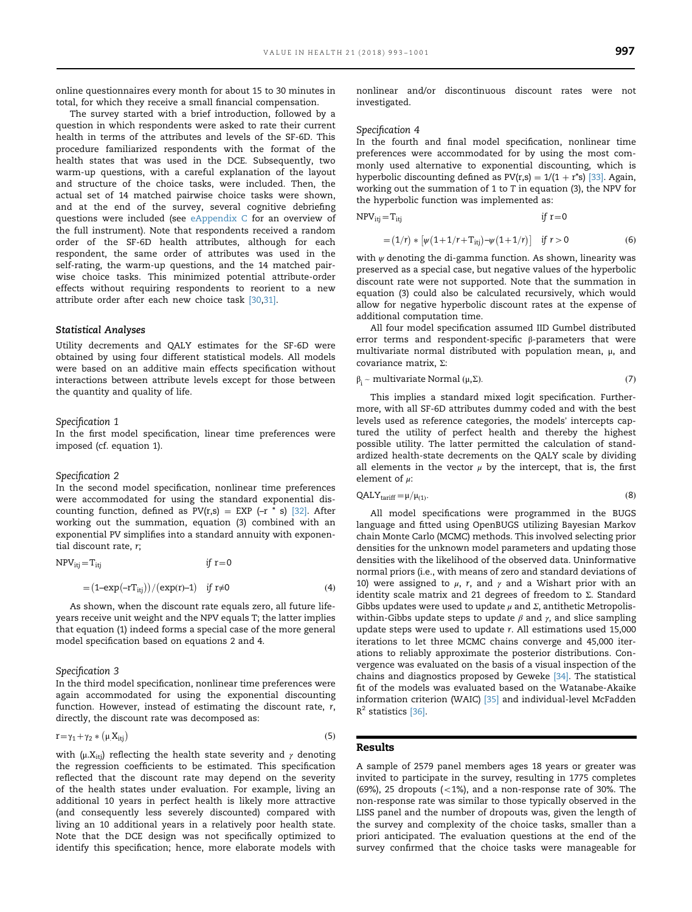online questionnaires every month for about 15 to 30 minutes in total, for which they receive a small financial compensation.

The survey started with a brief introduction, followed by a question in which respondents were asked to rate their current health in terms of the attributes and levels of the SF-6D. This procedure familiarized respondents with the format of the health states that was used in the DCE. Subsequently, two warm-up questions, with a careful explanation of the layout and structure of the choice tasks, were included. Then, the actual set of 14 matched pairwise choice tasks were shown, and at the end of the survey, several cognitive debriefing questions were included (see [eAppendix C](#page-7-0) for an overview of the full instrument). Note that respondents received a random order of the SF-6D health attributes, although for each respondent, the same order of attributes was used in the self-rating, the warm-up questions, and the 14 matched pairwise choice tasks. This minimized potential attribute-order effects without requiring respondents to reorient to a new attribute order after each new choice task [\[30,31\].](#page-8-0)

#### Statistical Analyses

Utility decrements and QALY estimates for the SF-6D were obtained by using four different statistical models. All models were based on an additive main effects specification without interactions between attribute levels except for those between the quantity and quality of life.

Specification 1

In the first model specification, linear time preferences were imposed (cf. equation 1).

#### Specification 2

In the second model specification, nonlinear time preferences were accommodated for using the standard exponential discounting function, defined as  $PV(r,s) = EXP(-r * s)$  [\[32\].](#page-8-0) After working out the summation, equation (3) combined with an exponential PV simplifies into a standard annuity with exponential discount rate, r;

$$
NPV_{itj} = T_{itj} \t\t if \t r = 0
$$

$$
=(1-\exp(-rT_{itj}))/(exp(r)-1) \quad \text{if } r\neq 0 \tag{4}
$$

As shown, when the discount rate equals zero, all future lifeyears receive unit weight and the NPV equals T; the latter implies that equation (1) indeed forms a special case of the more general model specification based on equations 2 and 4.

#### Specification 3

In the third model specification, nonlinear time preferences were again accommodated for using the exponential discounting function. However, instead of estimating the discount rate, r, directly, the discount rate was decomposed as:

$$
r = \gamma_1 + \gamma_2 * (\mu X_{itj})
$$
\n<sup>(5)</sup>

with ( $\mu$ . $X_{itj}$ ) reflecting the health state severity and  $\gamma$  denoting the regression coefficients to be estimated. This specification reflected that the discount rate may depend on the severity of the health states under evaluation. For example, living an additional 10 years in perfect health is likely more attractive (and consequently less severely discounted) compared with living an 10 additional years in a relatively poor health state. Note that the DCE design was not specifically optimized to identify this specification; hence, more elaborate models with

nonlinear and/or discontinuous discount rates were not investigated.

#### Specification 4

In the fourth and final model specification, nonlinear time preferences were accommodated for by using the most commonly used alternative to exponential discounting, which is hyperbolic discounting defined as  $PV(r,s) = 1/(1 + r^*)$  [\[33\]](#page-8-0). Again, working out the summation of 1 to T in equation (3), the NPV for the hyperbolic function was implemented as:

$$
NPV_{itj} = T_{itj} \t\t if \t=0
$$

$$
= (1/r) * [\psi (1 + 1/r + T_{ij}) - \psi (1 + 1/r)] \text{ if } r > 0
$$
 (6)

with  $\psi$  denoting the di-gamma function. As shown, linearity was preserved as a special case, but negative values of the hyperbolic discount rate were not supported. Note that the summation in equation (3) could also be calculated recursively, which would allow for negative hyperbolic discount rates at the expense of additional computation time.

All four model specification assumed IID Gumbel distributed error terms and respondent-specific β-parameters that were multivariate normal distributed with population mean, μ, and covariance matrix, Σ:

$$
\beta_{i} \sim \text{multivariate Normal } (\mu, \Sigma). \tag{7}
$$

This implies a standard mixed logit specification. Furthermore, with all SF-6D attributes dummy coded and with the best levels used as reference categories, the models' intercepts captured the utility of perfect health and thereby the highest possible utility. The latter permitted the calculation of standardized health-state decrements on the QALY scale by dividing all elements in the vector  $\mu$  by the intercept, that is, the first element of  $\mu$ :

$$
QALYtariff = \mu/\mu_{(1)}.
$$
 (8)

All model specifications were programmed in the BUGS language and fitted using OpenBUGS utilizing Bayesian Markov chain Monte Carlo (MCMC) methods. This involved selecting prior densities for the unknown model parameters and updating those densities with the likelihood of the observed data. Uninformative normal priors (i.e., with means of zero and standard deviations of 10) were assigned to  $\mu$ , r, and  $\gamma$  and a Wishart prior with an identity scale matrix and 21 degrees of freedom to Σ. Standard Gibbs updates were used to update  $\mu$  and  $\Sigma$ , antithetic Metropoliswithin-Gibbs update steps to update  $\beta$  and  $\gamma$ , and slice sampling update steps were used to update r. All estimations used 15,000 iterations to let three MCMC chains converge and 45,000 iterations to reliably approximate the posterior distributions. Convergence was evaluated on the basis of a visual inspection of the chains and diagnostics proposed by Geweke [\[34\]](#page-8-0). The statistical fit of the models was evaluated based on the Watanabe-Akaike information criterion (WAIC) [\[35\]](#page-8-0) and individual-level McFadden  $R<sup>2</sup>$  statistics [\[36\].](#page-8-0)

#### Results

A sample of 2579 panel members ages 18 years or greater was invited to participate in the survey, resulting in 1775 completes (69%), 25 dropouts  $(<1%)$ , and a non-response rate of 30%. The non-response rate was similar to those typically observed in the LISS panel and the number of dropouts was, given the length of the survey and complexity of the choice tasks, smaller than a priori anticipated. The evaluation questions at the end of the survey confirmed that the choice tasks were manageable for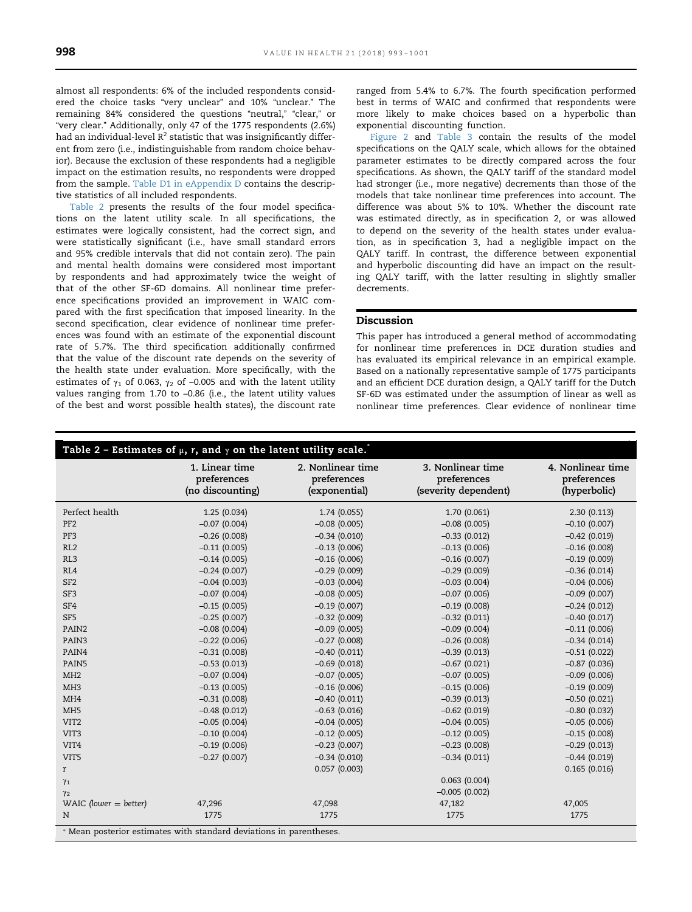almost all respondents: 6% of the included respondents considered the choice tasks "very unclear" and 10% "unclear." The remaining 84% considered the questions "neutral," "clear," or "very clear." Additionally, only 47 of the 1775 respondents (2.6%) had an individual-level  $R^2$  statistic that was insignificantly different from zero (i.e., indistinguishable from random choice behavior). Because the exclusion of these respondents had a negligible impact on the estimation results, no respondents were dropped from the sample. [Table D1 in eAppendix D](#page-7-0) contains the descriptive statistics of all included respondents.

Table 2 presents the results of the four model specifications on the latent utility scale. In all specifications, the estimates were logically consistent, had the correct sign, and were statistically significant (i.e., have small standard errors and 95% credible intervals that did not contain zero). The pain and mental health domains were considered most important by respondents and had approximately twice the weight of that of the other SF-6D domains. All nonlinear time preference specifications provided an improvement in WAIC compared with the first specification that imposed linearity. In the second specification, clear evidence of nonlinear time preferences was found with an estimate of the exponential discount rate of 5.7%. The third specification additionally confirmed that the value of the discount rate depends on the severity of the health state under evaluation. More specifically, with the estimates of  $\gamma_1$  of 0.063,  $\gamma_2$  of -0.005 and with the latent utility values ranging from 1.70 to –0.86 (i.e., the latent utility values of the best and worst possible health states), the discount rate

ranged from 5.4% to 6.7%. The fourth specification performed best in terms of WAIC and confirmed that respondents were more likely to make choices based on a hyperbolic than exponential discounting function.

[Figure 2](#page-6-0) and [Table 3](#page-6-0) contain the results of the model specifications on the QALY scale, which allows for the obtained parameter estimates to be directly compared across the four specifications. As shown, the QALY tariff of the standard model had stronger (i.e., more negative) decrements than those of the models that take nonlinear time preferences into account. The difference was about 5% to 10%. Whether the discount rate was estimated directly, as in specification 2, or was allowed to depend on the severity of the health states under evaluation, as in specification 3, had a negligible impact on the QALY tariff. In contrast, the difference between exponential and hyperbolic discounting did have an impact on the resulting QALY tariff, with the latter resulting in slightly smaller decrements.

# Discussion

This paper has introduced a general method of accommodating for nonlinear time preferences in DCE duration studies and has evaluated its empirical relevance in an empirical example. Based on a nationally representative sample of 1775 participants and an efficient DCE duration design, a QALY tariff for the Dutch SF-6D was estimated under the assumption of linear as well as nonlinear time preferences. Clear evidence of nonlinear time

| Table 2 - Estimates of $\mu$ , r, and $\gamma$ on the latent utility scale. |                                                   |                                                   |                                                          |                                                  |  |
|-----------------------------------------------------------------------------|---------------------------------------------------|---------------------------------------------------|----------------------------------------------------------|--------------------------------------------------|--|
|                                                                             | 1. Linear time<br>preferences<br>(no discounting) | 2. Nonlinear time<br>preferences<br>(exponential) | 3. Nonlinear time<br>preferences<br>(severity dependent) | 4. Nonlinear time<br>preferences<br>(hyperbolic) |  |
| Perfect health                                                              | 1.25(0.034)                                       | 1.74(0.055)                                       | 1.70(0.061)                                              | 2.30(0.113)                                      |  |
| PF <sub>2</sub>                                                             | $-0.07(0.004)$                                    | $-0.08$ (0.005)                                   | $-0.08(0.005)$                                           | $-0.10(0.007)$                                   |  |
| PF3                                                                         | $-0.26(0.008)$                                    | $-0.34(0.010)$                                    | $-0.33(0.012)$                                           | $-0.42$ (0.019)                                  |  |
| RL2                                                                         | $-0.11(0.005)$                                    | $-0.13(0.006)$                                    | $-0.13(0.006)$                                           | $-0.16(0.008)$                                   |  |
| RL3                                                                         | $-0.14(0.005)$                                    | $-0.16(0.006)$                                    | $-0.16(0.007)$                                           | $-0.19(0.009)$                                   |  |
| RL4                                                                         | $-0.24(0.007)$                                    | $-0.29(0.009)$                                    | $-0.29(0.009)$                                           | $-0.36(0.014)$                                   |  |
| SF <sub>2</sub>                                                             | $-0.04(0.003)$                                    | $-0.03(0.004)$                                    | $-0.03$ (0.004)                                          | $-0.04(0.006)$                                   |  |
| SF3                                                                         | $-0.07(0.004)$                                    | $-0.08$ (0.005)                                   | $-0.07$ (0.006)                                          | $-0.09$ (0.007)                                  |  |
| SF4                                                                         | $-0.15(0.005)$                                    | $-0.19(0.007)$                                    | $-0.19(0.008)$                                           | $-0.24(0.012)$                                   |  |
| SF5                                                                         | $-0.25(0.007)$                                    | $-0.32(0.009)$                                    | $-0.32(0.011)$                                           | $-0.40(0.017)$                                   |  |
| PAIN2                                                                       | $-0.08(0.004)$                                    | $-0.09(0.005)$                                    | $-0.09(0.004)$                                           | $-0.11(0.006)$                                   |  |
| PAIN3                                                                       | $-0.22$ (0.006)                                   | $-0.27(0.008)$                                    | $-0.26(0.008)$                                           | $-0.34(0.014)$                                   |  |
| PAIN4                                                                       | $-0.31(0.008)$                                    | $-0.40(0.011)$                                    | $-0.39(0.013)$                                           | $-0.51(0.022)$                                   |  |
| PAIN5                                                                       | $-0.53(0.013)$                                    | $-0.69$ (0.018)                                   | $-0.67(0.021)$                                           | $-0.87(0.036)$                                   |  |
| MH <sub>2</sub>                                                             | $-0.07(0.004)$                                    | $-0.07(0.005)$                                    | $-0.07$ (0.005)                                          | $-0.09$ (0.006)                                  |  |
| MH <sub>3</sub>                                                             | $-0.13(0.005)$                                    | $-0.16(0.006)$                                    | $-0.15(0.006)$                                           | $-0.19(0.009)$                                   |  |
| MH <sub>4</sub>                                                             | $-0.31(0.008)$                                    | $-0.40(0.011)$                                    | $-0.39(0.013)$                                           | $-0.50(0.021)$                                   |  |
| MH <sub>5</sub>                                                             | $-0.48(0.012)$                                    | $-0.63(0.016)$                                    | $-0.62$ (0.019)                                          | $-0.80(0.032)$                                   |  |
| VIT <sub>2</sub>                                                            | $-0.05(0.004)$                                    | $-0.04(0.005)$                                    | $-0.04$ (0.005)                                          | $-0.05(0.006)$                                   |  |
| VIT <sub>3</sub>                                                            | $-0.10(0.004)$                                    | $-0.12$ (0.005)                                   | $-0.12$ (0.005)                                          | $-0.15(0.008)$                                   |  |
| VIT4                                                                        | $-0.19(0.006)$                                    | $-0.23(0.007)$                                    | $-0.23(0.008)$                                           | $-0.29(0.013)$                                   |  |
| VIT5                                                                        | $-0.27(0.007)$                                    | $-0.34(0.010)$                                    | $-0.34(0.011)$                                           | $-0.44(0.019)$                                   |  |
| r                                                                           |                                                   | 0.057(0.003)                                      |                                                          | 0.165(0.016)                                     |  |
| $\gamma_1$                                                                  |                                                   |                                                   | 0.063(0.004)                                             |                                                  |  |
| $\gamma_2$                                                                  |                                                   |                                                   | $-0.005(0.002)$                                          |                                                  |  |
| WAIC (lower $=$ better)                                                     | 47,296                                            | 47,098                                            | 47,182                                                   | 47,005                                           |  |
| $\rm N$<br>Mean posterior estimates with standard deviations in parentheses | 1775                                              | 1775                                              | 1775                                                     | 1775                                             |  |

⁎ Mean posterior estimates with standard deviations in parentheses.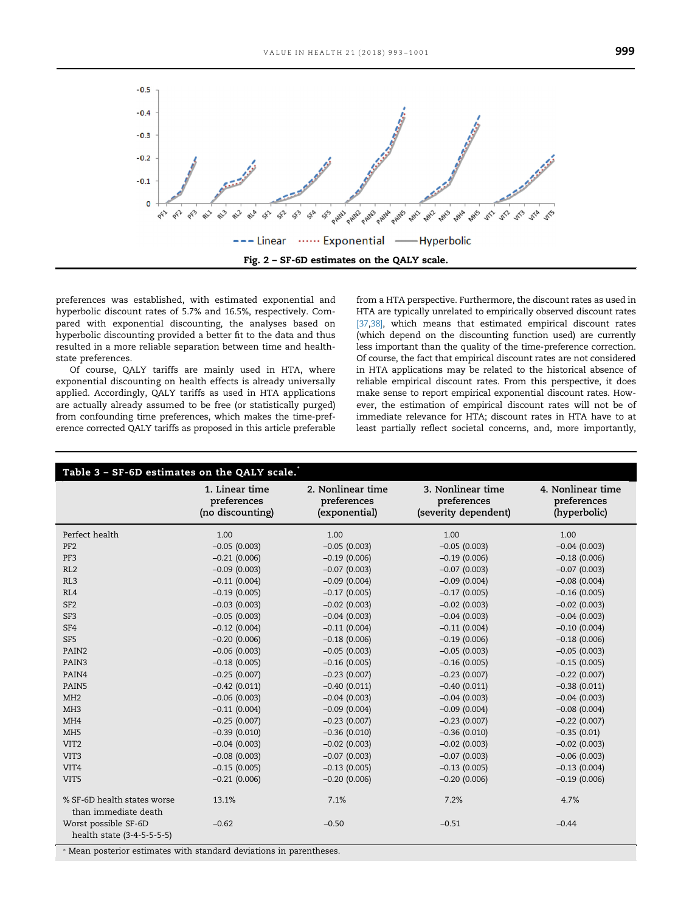<span id="page-6-0"></span>

preferences was established, with estimated exponential and hyperbolic discount rates of 5.7% and 16.5%, respectively. Compared with exponential discounting, the analyses based on hyperbolic discounting provided a better fit to the data and thus resulted in a more reliable separation between time and healthstate preferences.

Of course, QALY tariffs are mainly used in HTA, where exponential discounting on health effects is already universally applied. Accordingly, QALY tariffs as used in HTA applications are actually already assumed to be free (or statistically purged) from confounding time preferences, which makes the time-preference corrected QALY tariffs as proposed in this article preferable from a HTA perspective. Furthermore, the discount rates as used in HTA are typically unrelated to empirically observed discount rates [\[37,38\],](#page-8-0) which means that estimated empirical discount rates (which depend on the discounting function used) are currently less important than the quality of the time-preference correction. Of course, the fact that empirical discount rates are not considered in HTA applications may be related to the historical absence of reliable empirical discount rates. From this perspective, it does make sense to report empirical exponential discount rates. However, the estimation of empirical discount rates will not be of immediate relevance for HTA; discount rates in HTA have to at least partially reflect societal concerns, and, more importantly,

| Table 3 - SF-6D estimates on the QALY scale.        |                                                   |                                                   |                                                          |                                                  |  |
|-----------------------------------------------------|---------------------------------------------------|---------------------------------------------------|----------------------------------------------------------|--------------------------------------------------|--|
|                                                     | 1. Linear time<br>preferences<br>(no discounting) | 2. Nonlinear time<br>preferences<br>(exponential) | 3. Nonlinear time<br>preferences<br>(severity dependent) | 4. Nonlinear time<br>preferences<br>(hyperbolic) |  |
| Perfect health                                      | 1.00                                              | 1.00                                              | 1.00                                                     | 1.00                                             |  |
| PF <sub>2</sub>                                     | $-0.05(0.003)$                                    | $-0.05(0.003)$                                    | $-0.05(0.003)$                                           | $-0.04(0.003)$                                   |  |
| PF3                                                 | $-0.21(0.006)$                                    | $-0.19(0.006)$                                    | $-0.19(0.006)$                                           | $-0.18(0.006)$                                   |  |
| RL2                                                 | $-0.09(0.003)$                                    | $-0.07(0.003)$                                    | $-0.07(0.003)$                                           | $-0.07(0.003)$                                   |  |
| RL3                                                 | $-0.11(0.004)$                                    | $-0.09(0.004)$                                    | $-0.09(0.004)$                                           | $-0.08(0.004)$                                   |  |
| RL4                                                 | $-0.19(0.005)$                                    | $-0.17(0.005)$                                    | $-0.17(0.005)$                                           | $-0.16(0.005)$                                   |  |
| SF <sub>2</sub>                                     | $-0.03(0.003)$                                    | $-0.02$ (0.003)                                   | $-0.02$ (0.003)                                          | $-0.02$ (0.003)                                  |  |
| SF <sub>3</sub>                                     | $-0.05(0.003)$                                    | $-0.04(0.003)$                                    | $-0.04(0.003)$                                           | $-0.04(0.003)$                                   |  |
| SF4                                                 | $-0.12(0.004)$                                    | $-0.11(0.004)$                                    | $-0.11(0.004)$                                           | $-0.10(0.004)$                                   |  |
| SF <sub>5</sub>                                     | $-0.20(0.006)$                                    | $-0.18(0.006)$                                    | $-0.19(0.006)$                                           | $-0.18(0.006)$                                   |  |
| PAIN <sub>2</sub>                                   | $-0.06$ (0.003)                                   | $-0.05(0.003)$                                    | $-0.05(0.003)$                                           | $-0.05(0.003)$                                   |  |
| PAIN3                                               | $-0.18(0.005)$                                    | $-0.16(0.005)$                                    | $-0.16(0.005)$                                           | $-0.15(0.005)$                                   |  |
| PAIN4                                               | $-0.25(0.007)$                                    | $-0.23(0.007)$                                    | $-0.23(0.007)$                                           | $-0.22$ (0.007)                                  |  |
| PAIN5                                               | $-0.42$ (0.011)                                   | $-0.40(0.011)$                                    | $-0.40(0.011)$                                           | $-0.38(0.011)$                                   |  |
| MH2                                                 | $-0.06$ (0.003)                                   | $-0.04(0.003)$                                    | $-0.04(0.003)$                                           | $-0.04(0.003)$                                   |  |
| MH <sub>3</sub>                                     | $-0.11(0.004)$                                    | $-0.09(0.004)$                                    | $-0.09(0.004)$                                           | $-0.08$ (0.004)                                  |  |
| MH <sub>4</sub>                                     | $-0.25(0.007)$                                    | $-0.23(0.007)$                                    | $-0.23(0.007)$                                           | $-0.22$ (0.007)                                  |  |
| MH <sub>5</sub>                                     | $-0.39(0.010)$                                    | $-0.36(0.010)$                                    | $-0.36(0.010)$                                           | $-0.35(0.01)$                                    |  |
| VIT <sub>2</sub>                                    | $-0.04(0.003)$                                    | $-0.02$ (0.003)                                   | $-0.02$ (0.003)                                          | $-0.02$ (0.003)                                  |  |
| VIT <sub>3</sub>                                    | $-0.08(0.003)$                                    | $-0.07(0.003)$                                    | $-0.07(0.003)$                                           | $-0.06$ (0.003)                                  |  |
| VIT <sub>4</sub>                                    | $-0.15(0.005)$                                    | $-0.13(0.005)$                                    | $-0.13(0.005)$                                           | $-0.13(0.004)$                                   |  |
| VIT <sub>5</sub>                                    | $-0.21(0.006)$                                    | $-0.20(0.006)$                                    | $-0.20(0.006)$                                           | $-0.19(0.006)$                                   |  |
| % SF-6D health states worse<br>than immediate death | 13.1%                                             | 7.1%                                              | 7.2%                                                     | 4.7%                                             |  |
| Worst possible SF-6D<br>health state (3-4-5-5-5-5)  | $-0.62$                                           | $-0.50$                                           | $-0.51$                                                  | $-0.44$                                          |  |

⁎ Mean posterior estimates with standard deviations in parentheses.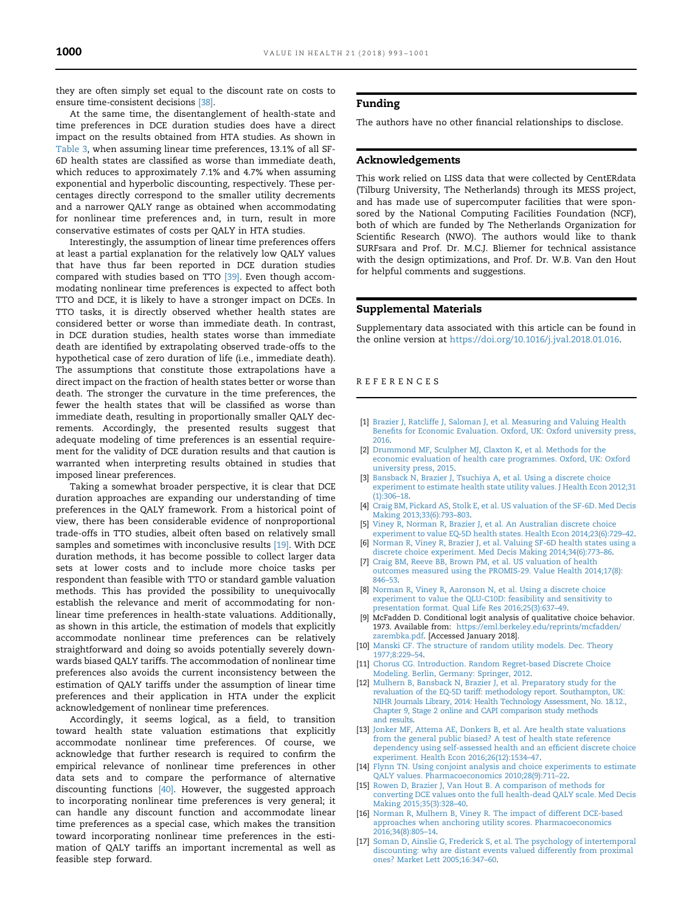<span id="page-7-0"></span>they are often simply set equal to the discount rate on costs to ensure time-consistent decisions [\[38\].](#page-8-0)

At the same time, the disentanglement of health-state and time preferences in DCE duration studies does have a direct impact on the results obtained from HTA studies. As shown in [Table 3,](#page-6-0) when assuming linear time preferences, 13.1% of all SF-6D health states are classified as worse than immediate death, which reduces to approximately 7.1% and 4.7% when assuming exponential and hyperbolic discounting, respectively. These percentages directly correspond to the smaller utility decrements and a narrower QALY range as obtained when accommodating for nonlinear time preferences and, in turn, result in more conservative estimates of costs per QALY in HTA studies.

Interestingly, the assumption of linear time preferences offers at least a partial explanation for the relatively low QALY values that have thus far been reported in DCE duration studies compared with studies based on TTO [\[39\].](#page-8-0) Even though accommodating nonlinear time preferences is expected to affect both TTO and DCE, it is likely to have a stronger impact on DCEs. In TTO tasks, it is directly observed whether health states are considered better or worse than immediate death. In contrast, in DCE duration studies, health states worse than immediate death are identified by extrapolating observed trade-offs to the hypothetical case of zero duration of life (i.e., immediate death). The assumptions that constitute those extrapolations have a direct impact on the fraction of health states better or worse than death. The stronger the curvature in the time preferences, the fewer the health states that will be classified as worse than immediate death, resulting in proportionally smaller QALY decrements. Accordingly, the presented results suggest that adequate modeling of time preferences is an essential requirement for the validity of DCE duration results and that caution is warranted when interpreting results obtained in studies that imposed linear preferences.

Taking a somewhat broader perspective, it is clear that DCE duration approaches are expanding our understanding of time preferences in the QALY framework. From a historical point of view, there has been considerable evidence of nonproportional trade-offs in TTO studies, albeit often based on relatively small samples and sometimes with inconclusive results [\[19\].](#page-8-0) With DCE duration methods, it has become possible to collect larger data sets at lower costs and to include more choice tasks per respondent than feasible with TTO or standard gamble valuation methods. This has provided the possibility to unequivocally establish the relevance and merit of accommodating for nonlinear time preferences in health-state valuations. Additionally, as shown in this article, the estimation of models that explicitly accommodate nonlinear time preferences can be relatively straightforward and doing so avoids potentially severely downwards biased QALY tariffs. The accommodation of nonlinear time preferences also avoids the current inconsistency between the estimation of QALY tariffs under the assumption of linear time preferences and their application in HTA under the explicit acknowledgement of nonlinear time preferences.

Accordingly, it seems logical, as a field, to transition toward health state valuation estimations that explicitly accommodate nonlinear time preferences. Of course, we acknowledge that further research is required to confirm the empirical relevance of nonlinear time preferences in other data sets and to compare the performance of alternative discounting functions [\[40\].](#page-8-0) However, the suggested approach to incorporating nonlinear time preferences is very general; it can handle any discount function and accommodate linear time preferences as a special case, which makes the transition toward incorporating nonlinear time preferences in the estimation of QALY tariffs an important incremental as well as feasible step forward.

#### Funding

The authors have no other financial relationships to disclose.

#### Acknowledgements

This work relied on LISS data that were collected by CentERdata (Tilburg University, The Netherlands) through its MESS project, and has made use of supercomputer facilities that were sponsored by the National Computing Facilities Foundation (NCF), both of which are funded by The Netherlands Organization for Scientific Research (NWO). The authors would like to thank SURFsara and Prof. Dr. M.C.J. Bliemer for technical assistance with the design optimizations, and Prof. Dr. W.B. Van den Hout for helpful comments and suggestions.

## Supplemental Materials

Supplementary data associated with this article can be found in the online version at [https://doi.org/10.1016/j.jval.2018.01.016.](https://doi.org/10.1016/j.jval.2018.01.016)

#### REFERENCES

- [1] [Brazier J, Ratcliffe J, Saloman J, et al. Measuring and Valuing Health](http://refhub.elsevier.com/S1098-3015(18)30202-X/sbref1) Benefi[ts for Economic Evaluation. Oxford, UK: Oxford university press,](http://refhub.elsevier.com/S1098-3015(18)30202-X/sbref1) [2016.](http://refhub.elsevier.com/S1098-3015(18)30202-X/sbref1)
- [2] [Drummond MF, Sculpher MJ, Claxton K, et al. Methods for the](http://refhub.elsevier.com/S1098-3015(18)30202-X/sbref2) [economic evaluation of health care programmes. Oxford, UK: Oxford](http://refhub.elsevier.com/S1098-3015(18)30202-X/sbref2) [university press, 2015.](http://refhub.elsevier.com/S1098-3015(18)30202-X/sbref2)
- [3] [Bansback N, Brazier J, Tsuchiya A, et al. Using a discrete choice](http://refhub.elsevier.com/S1098-3015(18)30202-X/sbref3) [experiment to estimate health state utility values. J Health Econ 2012;31](http://refhub.elsevier.com/S1098-3015(18)30202-X/sbref3)  $(1):306-18.$  $(1):306-18.$
- [4] [Craig BM, Pickard AS, Stolk E, et al. US valuation of the SF-6D. Med Decis](http://refhub.elsevier.com/S1098-3015(18)30202-X/sbref4) [Making 2013;33\(6\):793](http://refhub.elsevier.com/S1098-3015(18)30202-X/sbref4)–803.
- [5] [Viney R, Norman R, Brazier J, et al. An Australian discrete choice](http://refhub.elsevier.com/S1098-3015(18)30202-X/sbref5) experiment to value EQ‐[5D health states. Health Econ 2014;23\(6\):729](http://refhub.elsevier.com/S1098-3015(18)30202-X/sbref5)–42.
- [6] [Norman R, Viney R, Brazier J, et al. Valuing SF-6D health states using a](http://refhub.elsevier.com/S1098-3015(18)30202-X/sbref6) [discrete choice experiment. Med Decis Making 2014;34\(6\):773](http://refhub.elsevier.com/S1098-3015(18)30202-X/sbref6)–86.
- [7] [Craig BM, Reeve BB, Brown PM, et al. US valuation of health](http://refhub.elsevier.com/S1098-3015(18)30202-X/sbref7) [outcomes measured using the PROMIS-29. Value Health 2014;17\(8\):](http://refhub.elsevier.com/S1098-3015(18)30202-X/sbref7) [846](http://refhub.elsevier.com/S1098-3015(18)30202-X/sbref7)–53.
- [8] [Norman R, Viney R, Aaronson N, et al. Using a discrete choice](http://refhub.elsevier.com/S1098-3015(18)30202-X/sbref8) [experiment to value the QLU-C10D: feasibility and sensitivity to](http://refhub.elsevier.com/S1098-3015(18)30202-X/sbref8) [presentation format. Qual Life Res 2016;25\(3\):637](http://refhub.elsevier.com/S1098-3015(18)30202-X/sbref8)–49.
- [9] McFadden D. Conditional logit analysis of qualitative choice behavior. 1973. Available from: [https://eml.berkeley.edu/reprints/mcfadden/](https://eml.berkeley.edu/reprints/mcfadden/zarembka.pdf) [zarembka.pdf.](https://eml.berkeley.edu/reprints/mcfadden/zarembka.pdf) [Accessed January 2018].
- [10] [Manski CF. The structure of random utility models. Dec. Theory](http://refhub.elsevier.com/S1098-3015(18)30202-X/sbref10) [1977;8:229](http://refhub.elsevier.com/S1098-3015(18)30202-X/sbref10)–54.
- [11] [Chorus CG. Introduction. Random Regret-based Discrete Choice](http://refhub.elsevier.com/S1098-3015(18)30202-X/sbref11) [Modeling. Berlin, Germany: Springer, 2012.](http://refhub.elsevier.com/S1098-3015(18)30202-X/sbref11)
- [12] [Mulhern B, Bansback N, Brazier J, et al. Preparatory study for the](http://refhub.elsevier.com/S1098-3015(18)30202-X/sbref12) [revaluation of the EQ-5D tariff: methodology report. Southampton, UK:](http://refhub.elsevier.com/S1098-3015(18)30202-X/sbref12) [NIHR Journals Library, 2014: Health Technology Assessment, No. 18.12.,](http://refhub.elsevier.com/S1098-3015(18)30202-X/sbref12) [Chapter 9, Stage 2 online and CAPI comparison study methods](http://refhub.elsevier.com/S1098-3015(18)30202-X/sbref12) [and results.](http://refhub.elsevier.com/S1098-3015(18)30202-X/sbref12)
- [13] [Jonker MF, Attema AE, Donkers B, et al. Are health state valuations](http://refhub.elsevier.com/S1098-3015(18)30202-X/sbref13) [from the general public biased? A test of health state reference](http://refhub.elsevier.com/S1098-3015(18)30202-X/sbref13) [dependency using self-assessed health and an ef](http://refhub.elsevier.com/S1098-3015(18)30202-X/sbref13)ficient discrete choice [experiment. Health Econ 2016;26\(12\):1534](http://refhub.elsevier.com/S1098-3015(18)30202-X/sbref13)–47.
- [14] [Flynn TN. Using conjoint analysis and choice experiments to estimate](http://refhub.elsevier.com/S1098-3015(18)30202-X/sbref14) [QALY values. Pharmacoeconomics 2010;28\(9\):711](http://refhub.elsevier.com/S1098-3015(18)30202-X/sbref14)–22.
- [15] [Rowen D, Brazier J, Van Hout B. A comparison of methods for](http://refhub.elsevier.com/S1098-3015(18)30202-X/sbref15) [converting DCE values onto the full health-dead QALY scale. Med Decis](http://refhub.elsevier.com/S1098-3015(18)30202-X/sbref15) [Making 2015;35\(3\):328](http://refhub.elsevier.com/S1098-3015(18)30202-X/sbref15)–40.
- [16] [Norman R, Mulhern B, Viney R. The impact of different DCE-based](http://refhub.elsevier.com/S1098-3015(18)30202-X/sbref16) [approaches when anchoring utility scores. Pharmacoeconomics](http://refhub.elsevier.com/S1098-3015(18)30202-X/sbref16) [2016;34\(8\):805](http://refhub.elsevier.com/S1098-3015(18)30202-X/sbref16)–14.
- [17] [Soman D, Ainslie G, Frederick S, et al. The psychology of intertemporal](http://refhub.elsevier.com/S1098-3015(18)30202-X/sbref17) [discounting: why are distant events valued differently from proximal](http://refhub.elsevier.com/S1098-3015(18)30202-X/sbref17) [ones? Market Lett 2005;16:347](http://refhub.elsevier.com/S1098-3015(18)30202-X/sbref17)–60.